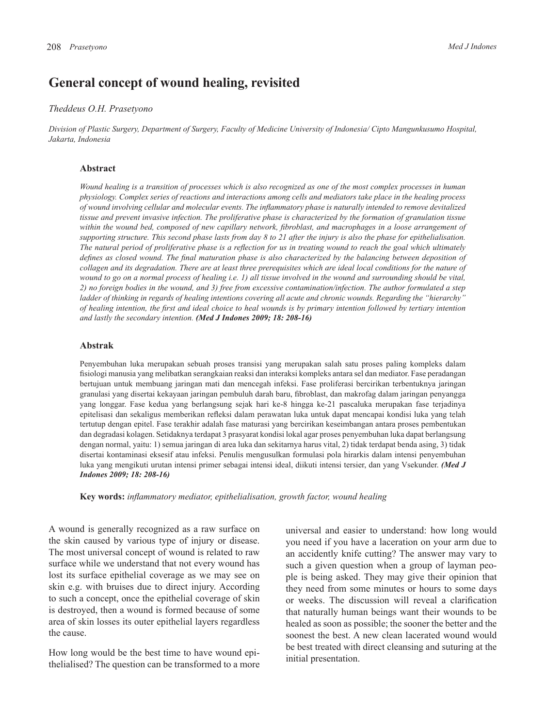# **General concept of wound healing, revisited**

#### *Theddeus O.H. Prasetyono*

*Division of Plastic Surgery, Department of Surgery, Faculty of Medicine University of Indonesia/ Cipto Mangunkusumo Hospital, Jakarta, Indonesia*

#### **Abstract**

*Wound healing is a transition of processes which is also recognized as one of the most complex processes in human physiology. Complex series of reactions and interactions among cells and mediators take place in the healing process of wound involving cellular and molecular events. The inflammatory phase is naturally intended to remove devitalized tissue and prevent invasive infection. The proliferative phase is characterized by the formation of granulation tissue*  within the wound bed, composed of new capillary network, fibroblast, and macrophages in a loose arrangement of *supporting structure. This second phase lasts from day 8 to 21 after the injury is also the phase for epithelialisation. The natural period of proliferative phase is a reflection for us in treating wound to reach the goal which ultimately defines as closed wound. The final maturation phase is also characterized by the balancing between deposition of collagen and its degradation. There are at least three prerequisites which are ideal local conditions for the nature of wound to go on a normal process of healing i.e. 1) all tissue involved in the wound and surrounding should be vital, 2) no foreign bodies in the wound, and 3) free from excessive contamination/infection. The author formulated a step ladder of thinking in regards of healing intentions covering all acute and chronic wounds. Regarding the "hierarchy" of healing intention, the first and ideal choice to heal wounds is by primary intention followed by tertiary intention and lastly the secondary intention. (Med J Indones 2009; 18: 208-16)*

### **Abstrak**

Penyembuhan luka merupakan sebuah proses transisi yang merupakan salah satu proses paling kompleks dalam fisiologi manusia yang melibatkan serangkaian reaksi dan interaksi kompleks antara sel dan mediator. Fase peradangan bertujuan untuk membuang jaringan mati dan mencegah infeksi. Fase proliferasi bercirikan terbentuknya jaringan granulasi yang disertai kekayaan jaringan pembuluh darah baru, fibroblast, dan makrofag dalam jaringan penyangga yang longgar. Fase kedua yang berlangsung sejak hari ke-8 hingga ke-21 pascaluka merupakan fase terjadinya epitelisasi dan sekaligus memberikan refleksi dalam perawatan luka untuk dapat mencapai kondisi luka yang telah tertutup dengan epitel. Fase terakhir adalah fase maturasi yang bercirikan keseimbangan antara proses pembentukan dan degradasi kolagen. Setidaknya terdapat 3 prasyarat kondisi lokal agar proses penyembuhan luka dapat berlangsung dengan normal, yaitu: 1) semua jaringan di area luka dan sekitarnya harus vital, 2) tidak terdapat benda asing, 3) tidak disertai kontaminasi eksesif atau infeksi. Penulis mengusulkan formulasi pola hirarkis dalam intensi penyembuhan luka yang mengikuti urutan intensi primer sebagai intensi ideal, diikuti intensi tersier, dan yang Vsekunder. *(Med J Indones 2009; 18: 208-16)*

**Key words:** *inflammatory mediator, epithelialisation, growth factor, wound healing*

A wound is generally recognized as a raw surface on the skin caused by various type of injury or disease. The most universal concept of wound is related to raw surface while we understand that not every wound has lost its surface epithelial coverage as we may see on skin e.g. with bruises due to direct injury. According to such a concept, once the epithelial coverage of skin is destroyed, then a wound is formed because of some area of skin losses its outer epithelial layers regardless the cause.

How long would be the best time to have wound epithelialised? The question can be transformed to a more

universal and easier to understand: how long would you need if you have a laceration on your arm due to an accidently knife cutting? The answer may vary to such a given question when a group of layman people is being asked. They may give their opinion that they need from some minutes or hours to some days or weeks. The discussion will reveal a clarification that naturally human beings want their wounds to be healed as soon as possible; the sooner the better and the soonest the best. A new clean lacerated wound would be best treated with direct cleansing and suturing at the initial presentation.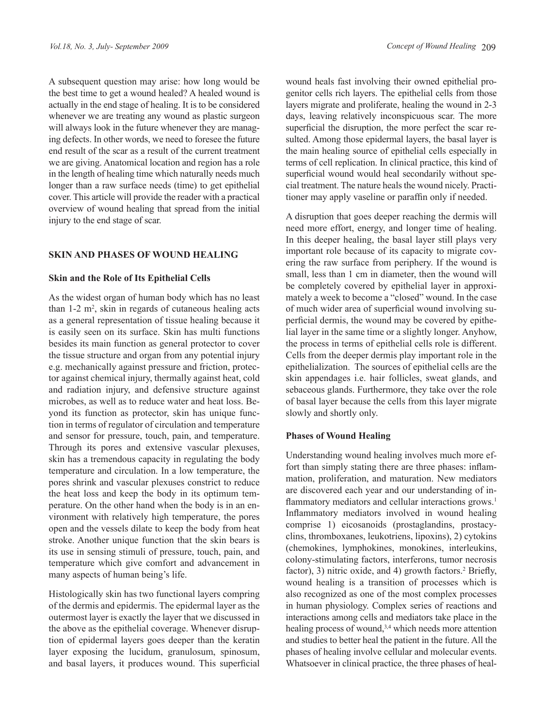A subsequent question may arise: how long would be the best time to get a wound healed? A healed wound is actually in the end stage of healing. It is to be considered whenever we are treating any wound as plastic surgeon will always look in the future whenever they are managing defects. In other words, we need to foresee the future end result of the scar as a result of the current treatment we are giving. Anatomical location and region has a role in the length of healing time which naturally needs much longer than a raw surface needs (time) to get epithelial cover. This article will provide the reader with a practical overview of wound healing that spread from the initial injury to the end stage of scar.

### **SKIN AND PHASES OF WOUND HEALING**

### **Skin and the Role of Its Epithelial Cells**

As the widest organ of human body which has no least than  $1-2$  m<sup>2</sup>, skin in regards of cutaneous healing acts as a general representation of tissue healing because it is easily seen on its surface. Skin has multi functions besides its main function as general protector to cover the tissue structure and organ from any potential injury e.g. mechanically against pressure and friction, protector against chemical injury, thermally against heat, cold and radiation injury, and defensive structure against microbes, as well as to reduce water and heat loss. Beyond its function as protector, skin has unique function in terms of regulator of circulation and temperature and sensor for pressure, touch, pain, and temperature. Through its pores and extensive vascular plexuses, skin has a tremendous capacity in regulating the body temperature and circulation. In a low temperature, the pores shrink and vascular plexuses constrict to reduce the heat loss and keep the body in its optimum temperature. On the other hand when the body is in an environment with relatively high temperature, the pores open and the vessels dilate to keep the body from heat stroke. Another unique function that the skin bears is its use in sensing stimuli of pressure, touch, pain, and temperature which give comfort and advancement in many aspects of human being's life.

Histologically skin has two functional layers compring of the dermis and epidermis. The epidermal layer as the outermost layer is exactly the layer that we discussed in the above as the epithelial coverage. Whenever disruption of epidermal layers goes deeper than the keratin layer exposing the lucidum, granulosum, spinosum, and basal layers, it produces wound. This superficial

wound heals fast involving their owned epithelial progenitor cells rich layers. The epithelial cells from those layers migrate and proliferate, healing the wound in 2-3 days, leaving relatively inconspicuous scar. The more superficial the disruption, the more perfect the scar resulted. Among those epidermal layers, the basal layer is the main healing source of epithelial cells especially in terms of cell replication. In clinical practice, this kind of superficial wound would heal secondarily without special treatment. The nature heals the wound nicely. Practitioner may apply vaseline or paraffin only if needed.

A disruption that goes deeper reaching the dermis will need more effort, energy, and longer time of healing. In this deeper healing, the basal layer still plays very important role because of its capacity to migrate covering the raw surface from periphery. If the wound is small, less than 1 cm in diameter, then the wound will be completely covered by epithelial layer in approximately a week to become a "closed" wound. In the case of much wider area of superficial wound involving superficial dermis, the wound may be covered by epithelial layer in the same time or a slightly longer. Anyhow, the process in terms of epithelial cells role is different. Cells from the deeper dermis play important role in the epithelialization. The sources of epithelial cells are the skin appendages i.e. hair follicles, sweat glands, and sebaceous glands. Furthermore, they take over the role of basal layer because the cells from this layer migrate slowly and shortly only.

### **Phases of Wound Healing**

Understanding wound healing involves much more effort than simply stating there are three phases: inflammation, proliferation, and maturation. New mediators are discovered each year and our understanding of inflammatory mediators and cellular interactions grows.<sup>1</sup> Inflammatory mediators involved in wound healing comprise 1) eicosanoids (prostaglandins, prostacyclins, thromboxanes, leukotriens, lipoxins), 2) cytokins (chemokines, lymphokines, monokines, interleukins, colony-stimulating factors, interferons, tumor necrosis factor), 3) nitric oxide, and 4) growth factors.<sup>2</sup> Briefly, wound healing is a transition of processes which is also recognized as one of the most complex processes in human physiology. Complex series of reactions and interactions among cells and mediators take place in the healing process of wound,<sup>3,4</sup> which needs more attention and studies to better heal the patient in the future. All the phases of healing involve cellular and molecular events. Whatsoever in clinical practice, the three phases of heal-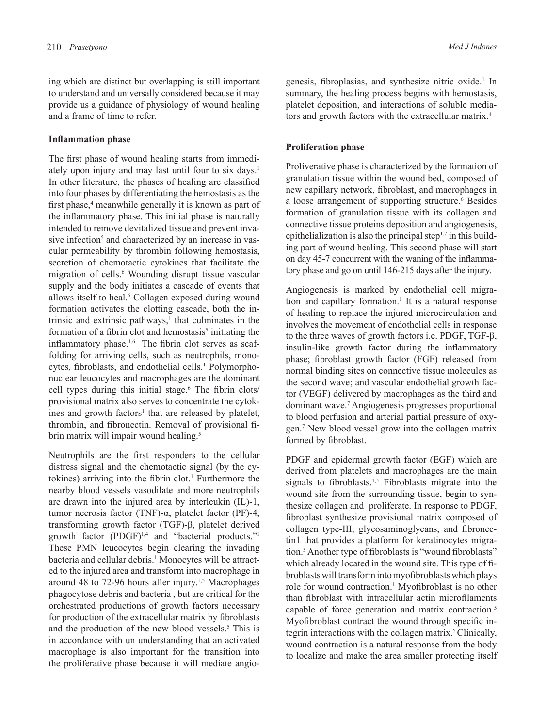ing which are distinct but overlapping is still important to understand and universally considered because it may provide us a guidance of physiology of wound healing and a frame of time to refer.

### **Inflammation phase**

The first phase of wound healing starts from immediately upon injury and may last until four to six days.<sup>1</sup> In other literature, the phases of healing are classified into four phases by differentiating the hemostasis as the first phase,<sup>4</sup> meanwhile generally it is known as part of the inflammatory phase. This initial phase is naturally intended to remove devitalized tissue and prevent invasive infection<sup>5</sup> and characterized by an increase in vascular permeability by thrombin following hemostasis, secretion of chemotactic cytokines that facilitate the migration of cells.<sup>6</sup> Wounding disrupt tissue vascular supply and the body initiates a cascade of events that allows itself to heal.<sup>6</sup> Collagen exposed during wound formation activates the clotting cascade, both the intrinsic and extrinsic pathways, $<sup>1</sup>$  that culminates in the</sup> formation of a fibrin clot and hemostasis<sup>5</sup> initiating the inflammatory phase.<sup>1,6</sup> The fibrin clot serves as scaffolding for arriving cells, such as neutrophils, monocytes, fibroblasts, and endothelial cells.<sup>1</sup> Polymorphonuclear leucocytes and macrophages are the dominant cell types during this initial stage.<sup>6</sup> The fibrin clots/ provisional matrix also serves to concentrate the cytokines and growth factors<sup>1</sup> that are released by platelet, thrombin, and fibronectin. Removal of provisional fibrin matrix will impair wound healing.<sup>5</sup>

Neutrophils are the first responders to the cellular distress signal and the chemotactic signal (by the cytokines) arriving into the fibrin clot.<sup>1</sup> Furthermore the nearby blood vessels vasodilate and more neutrophils are drawn into the injured area by interleukin (IL)-1, tumor necrosis factor (TNF)-α, platelet factor (PF)-4, transforming growth factor (TGF)-β, platelet derived growth factor  $(PDGF)^{1,4}$  and "bacterial products."<sup>1</sup> These PMN leucocytes begin clearing the invading bacteria and cellular debris.<sup>1</sup> Monocytes will be attracted to the injured area and transform into macrophage in around 48 to 72-96 hours after injury.<sup>1,5</sup> Macrophages phagocytose debris and bacteria , but are critical for the orchestrated productions of growth factors necessary for production of the extracellular matrix by fibroblasts and the production of the new blood vessels.<sup>5</sup> This is in accordance with un understanding that an activated macrophage is also important for the transition into the proliferative phase because it will mediate angio-

genesis, fibroplasias, and synthesize nitric oxide.<sup>1</sup> In summary, the healing process begins with hemostasis, platelet deposition, and interactions of soluble mediators and growth factors with the extracellular matrix.<sup>4</sup>

### **Proliferation phase**

Proliverative phase is characterized by the formation of granulation tissue within the wound bed, composed of new capillary network, fibroblast, and macrophages in a loose arrangement of supporting structure.<sup>6</sup> Besides formation of granulation tissue with its collagen and connective tissue proteins deposition and angiogenesis, epithelialization is also the principal step $1,7$  in this building part of wound healing. This second phase will start on day 45-7 concurrent with the waning of the inflammatory phase and go on until 146-215 days after the injury.

Angiogenesis is marked by endothelial cell migration and capillary formation.<sup>1</sup> It is a natural response of healing to replace the injured microcirculation and involves the movement of endothelial cells in response to the three waves of growth factors i.e. PDGF, TGF-β, insulin-like growth factor during the inflammatory phase; fibroblast growth factor (FGF) released from normal binding sites on connective tissue molecules as the second wave; and vascular endothelial growth factor (VEGF) delivered by macrophages as the third and dominant wave.7 Angiogenesis progresses proportional to blood perfusion and arterial partial pressure of oxygen.7 New blood vessel grow into the collagen matrix formed by fibroblast.

PDGF and epidermal growth factor (EGF) which are derived from platelets and macrophages are the main signals to fibroblasts.<sup>1,5</sup> Fibroblasts migrate into the wound site from the surrounding tissue, begin to synthesize collagen and proliferate. In response to PDGF, fibroblast synthesize provisional matrix composed of collagen type-III, glycosaminoglycans, and fibronectin1 that provides a platform for keratinocytes migration.<sup>5</sup> Another type of fibroblasts is "wound fibroblasts" which already located in the wound site. This type of fibroblasts will transform into myofibroblasts which plays role for wound contraction.<sup>1</sup> Myofibroblast is no other than fibroblast with intracellular actin microfilaments capable of force generation and matrix contraction.<sup>5</sup> Myofibroblast contract the wound through specific integrin interactions with the collagen matrix.<sup>5</sup> Clinically, wound contraction is a natural response from the body to localize and make the area smaller protecting itself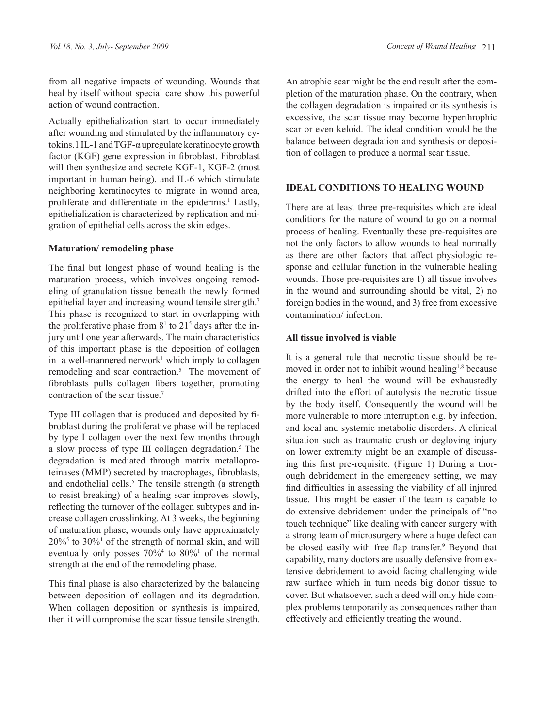from all negative impacts of wounding. Wounds that heal by itself without special care show this powerful action of wound contraction.

Actually epithelialization start to occur immediately after wounding and stimulated by the inflammatory cytokins.1 IL-1 and TGF-α upregulate keratinocyte growth factor (KGF) gene expression in fibroblast. Fibroblast will then synthesize and secrete KGF-1, KGF-2 (most important in human being), and IL-6 which stimulate neighboring keratinocytes to migrate in wound area, proliferate and differentiate in the epidermis.<sup>1</sup> Lastly, epithelialization is characterized by replication and migration of epithelial cells across the skin edges.

### **Maturation/ remodeling phase**

The final but longest phase of wound healing is the maturation process, which involves ongoing remodeling of granulation tissue beneath the newly formed epithelial layer and increasing wound tensile strength.7 This phase is recognized to start in overlapping with the proliferative phase from  $8<sup>1</sup>$  to  $21<sup>5</sup>$  days after the injury until one year afterwards. The main characteristics of this important phase is the deposition of collagen in a well-mannered nerwork<sup>1</sup> which imply to collagen remodeling and scar contraction.<sup>5</sup> The movement of fibroblasts pulls collagen fibers together, promoting contraction of the scar tissue.<sup>7</sup>

Type III collagen that is produced and deposited by fibroblast during the proliferative phase will be replaced by type I collagen over the next few months through a slow process of type III collagen degradation.<sup>5</sup> The degradation is mediated through matrix metalloproteinases (MMP) secreted by macrophages, fibroblasts, and endothelial cells.<sup>5</sup> The tensile strength (a strength to resist breaking) of a healing scar improves slowly, reflecting the turnover of the collagen subtypes and increase collagen crosslinking. At 3 weeks, the beginning of maturation phase, wounds only have approximately  $20\%$ <sup>5</sup> to  $30\%$ <sup>1</sup> of the strength of normal skin, and will eventually only posses  $70\%$ <sup>4</sup> to  $80\%$ <sup>1</sup> of the normal strength at the end of the remodeling phase.

This final phase is also characterized by the balancing between deposition of collagen and its degradation. When collagen deposition or synthesis is impaired, then it will compromise the scar tissue tensile strength.

An atrophic scar might be the end result after the completion of the maturation phase. On the contrary, when the collagen degradation is impaired or its synthesis is excessive, the scar tissue may become hyperthrophic scar or even keloid. The ideal condition would be the balance between degradation and synthesis or deposition of collagen to produce a normal scar tissue.

# **IDEAL CONDITIONS TO HEALING WOUND**

There are at least three pre-requisites which are ideal conditions for the nature of wound to go on a normal process of healing. Eventually these pre-requisites are not the only factors to allow wounds to heal normally as there are other factors that affect physiologic response and cellular function in the vulnerable healing wounds. Those pre-requisites are 1) all tissue involves in the wound and surrounding should be vital, 2) no foreign bodies in the wound, and 3) free from excessive contamination/ infection.

# **All tissue involved is viable**

It is a general rule that necrotic tissue should be removed in order not to inhibit wound healing<sup>1,8</sup> because the energy to heal the wound will be exhaustedly drifted into the effort of autolysis the necrotic tissue by the body itself. Consequently the wound will be more vulnerable to more interruption e.g. by infection, and local and systemic metabolic disorders. A clinical situation such as traumatic crush or degloving injury on lower extremity might be an example of discussing this first pre-requisite. (Figure 1) During a thorough debridement in the emergency setting, we may find difficulties in assessing the viability of all injured tissue. This might be easier if the team is capable to do extensive debridement under the principals of "no touch technique" like dealing with cancer surgery with a strong team of microsurgery where a huge defect can be closed easily with free flap transfer.<sup>9</sup> Beyond that capability, many doctors are usually defensive from extensive debridement to avoid facing challenging wide raw surface which in turn needs big donor tissue to cover. But whatsoever, such a deed will only hide complex problems temporarily as consequences rather than effectively and efficiently treating the wound.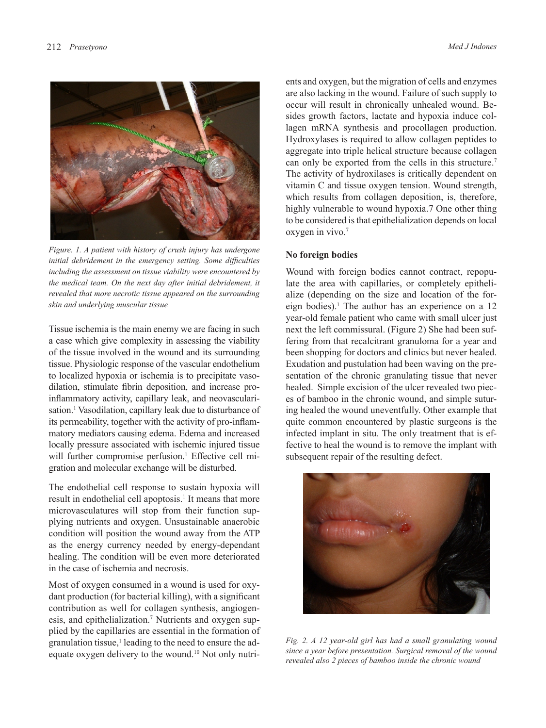

*including the assessment on tissue viability were encountered by* Wound with the medical team. On the next day after initial debridement, it late the are *revealed that more necrotic tissue appeared on the surrounding* alize (deper *skin and underlying muscular tissue skin and underlying muscular tissue skin and underlying muscular tissue Figure. 1. A patient with history of crush injury has undergone initial debridement in the emergency setting. Some difficulties* 

Tissue ischemia is the main enemy we are facing in such a case which give complexity in assessing the viability of the tissue involved in the wound and its surrounding tissue. Physiologic response of the vascular endothelium to localized hypoxia or ischemia is to precipitate vasodilation, stimulate fibrin deposition, and increase proinflammatory activity, capillary leak, and neovascularisation.<sup>1</sup> Vasodilation, capillary leak due to disturbance of its permeability, together with the activity of pro-inflammatory mediators causing edema. Edema and increased locally pressure associated with ischemic injured tissue will further compromise perfusion.<sup>1</sup> Effective cell migration and molecular exchange will be disturbed.

The endothelial cell response to sustain hypoxia will result in endothelial cell apoptosis.<sup>1</sup> It means that more microvasculatures will stop from their function supplying nutrients and oxygen. Unsustainable anaerobic condition will position the wound away from the ATP as the energy currency needed by energy-dependant healing. The condition will be even more deteriorated in the case of ischemia and necrosis.

Most of oxygen consumed in a wound is used for oxydant production (for bacterial killing), with a significant contribution as well for collagen synthesis, angiogenesis, and epithelialization.<sup>7</sup> Nutrients and oxygen supplied by the capillaries are essential in the formation of granulation tissue,<sup>1</sup> leading to the need to ensure the adequate oxygen delivery to the wound.10 Not only nutrients and oxygen, but the migration of cells and enzymes are also lacking in the wound. Failure of such supply to occur will result in chronically unhealed wound. Besides growth factors, lactate and hypoxia induce collagen mRNA synthesis and procollagen production. Hydroxylases is required to allow collagen peptides to aggregate into triple helical structure because collagen can only be exported from the cells in this structure.<sup>7</sup> The activity of hydroxilases is critically dependent on vitamin C and tissue oxygen tension. Wound strength, which results from collagen deposition, is, therefore, highly vulnerable to wound hypoxia.7 One other thing to be considered is that epithelialization depends on local oxygen in vivo.7

#### **No foreign bodies**

Wound with foreign bodies cannot contract, repopulate the area with capillaries, or completely epithelialize (depending on the size and location of the foreign bodies).<sup>1</sup> The author has an experience on a 12 year-old female patient who came with small ulcer just next the left commissural. (Figure 2) She had been suffering from that recalcitrant granuloma for a year and been shopping for doctors and clinics but never healed. Exudation and pustulation had been waving on the presentation of the chronic granulating tissue that never healed. Simple excision of the ulcer revealed two pieces of bamboo in the chronic wound, and simple suturing healed the wound uneventfully. Other example that quite common encountered by plastic surgeons is the infected implant in situ. The only treatment that is effective to heal the wound is to remove the implant with subsequent repair of the resulting defect.



Fig. 2. A 12 year-old girl has had a small granulating wound *Fig. 2. A 12 year-old girl has had a small granulating wound*  since a year-bid girl has had a small grandialing wound since a year before presentation. Surgical removal of the wound  $\frac{1}{2}$ *revealed also 2 pieces of bamboo inside the chronic wound*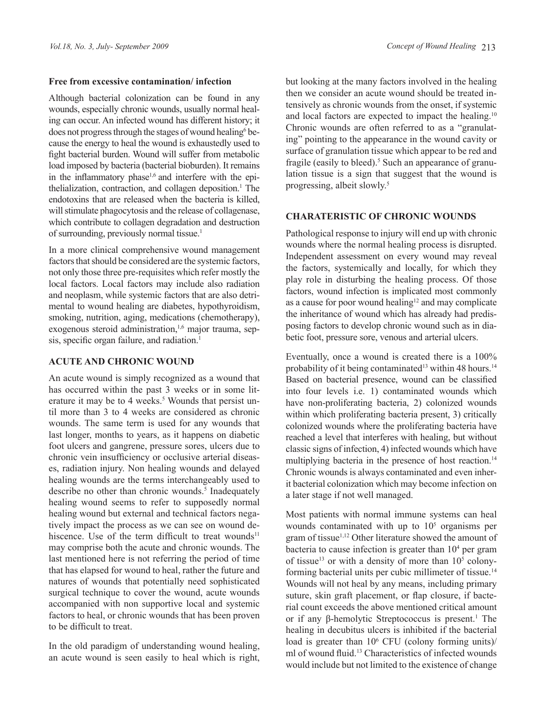### **Free from excessive contamination/ infection**

Although bacterial colonization can be found in any wounds, especially chronic wounds, usually normal healing can occur. An infected wound has different history; it does not progress through the stages of wound healing<sup>6</sup> because the energy to heal the wound is exhaustedly used to fight bacterial burden. Wound will suffer from metabolic load imposed by bacteria (bacterial bioburden). It remains in the inflammatory phase<sup> $1,6$ </sup> and interfere with the epithelialization, contraction, and collagen deposition.<sup>1</sup> The endotoxins that are released when the bacteria is killed, will stimulate phagocytosis and the release of collagenase, which contribute to collagen degradation and destruction of surrounding, previously normal tissue.<sup>1</sup>

In a more clinical comprehensive wound management factors that should be considered are the systemic factors, not only those three pre-requisites which refer mostly the local factors. Local factors may include also radiation and neoplasm, while systemic factors that are also detrimental to wound healing are diabetes, hypothyroidism, smoking, nutrition, aging, medications (chemotherapy), exogenous steroid administration,<sup>1,6</sup> major trauma, sepsis, specific organ failure, and radiation.<sup>1</sup>

### **ACUTE AND CHRONIC WOUND**

An acute wound is simply recognized as a wound that has occurred within the past 3 weeks or in some literature it may be to 4 weeks.<sup>5</sup> Wounds that persist until more than 3 to 4 weeks are considered as chronic wounds. The same term is used for any wounds that last longer, months to years, as it happens on diabetic foot ulcers and gangrene, pressure sores, ulcers due to chronic vein insufficiency or occlusive arterial diseases, radiation injury. Non healing wounds and delayed healing wounds are the terms interchangeably used to describe no other than chronic wounds.<sup>5</sup> Inadequately healing wound seems to refer to supposedly normal healing wound but external and technical factors negatively impact the process as we can see on wound dehiscence. Use of the term difficult to treat wounds<sup>11</sup> may comprise both the acute and chronic wounds. The last mentioned here is not referring the period of time that has elapsed for wound to heal, rather the future and natures of wounds that potentially need sophisticated surgical technique to cover the wound, acute wounds accompanied with non supportive local and systemic factors to heal, or chronic wounds that has been proven to be difficult to treat.

In the old paradigm of understanding wound healing, an acute wound is seen easily to heal which is right, but looking at the many factors involved in the healing then we consider an acute wound should be treated intensively as chronic wounds from the onset, if systemic and local factors are expected to impact the healing.10 Chronic wounds are often referred to as a "granulating" pointing to the appearance in the wound cavity or surface of granulation tissue which appear to be red and fragile (easily to bleed).<sup>5</sup> Such an appearance of granulation tissue is a sign that suggest that the wound is progressing, albeit slowly.<sup>5</sup>

# **CHARATERISTIC OF CHRONIC WOUNDS**

Pathological response to injury will end up with chronic wounds where the normal healing process is disrupted. Independent assessment on every wound may reveal the factors, systemically and locally, for which they play role in disturbing the healing process. Of those factors, wound infection is implicated most commonly as a cause for poor wound healing<sup>12</sup> and may complicate the inheritance of wound which has already had predisposing factors to develop chronic wound such as in diabetic foot, pressure sore, venous and arterial ulcers.

Eventually, once a wound is created there is a 100% probability of it being contaminated<sup>13</sup> within 48 hours.<sup>14</sup> Based on bacterial presence, wound can be classified into four levels i.e. 1) contaminated wounds which have non-proliferating bacteria, 2) colonized wounds within which proliferating bacteria present, 3) critically colonized wounds where the proliferating bacteria have reached a level that interferes with healing, but without classic signs of infection, 4) infected wounds which have multiplying bacteria in the presence of host reaction.<sup>14</sup> Chronic wounds is always contaminated and even inherit bacterial colonization which may become infection on a later stage if not well managed.

Most patients with normal immune systems can heal wounds contaminated with up to  $10<sup>5</sup>$  organisms per gram of tissue<sup>1,12</sup> Other literature showed the amount of bacteria to cause infection is greater than  $10<sup>4</sup>$  per gram of tissue<sup>13</sup> or with a density of more than  $10<sup>5</sup>$  colonyforming bacterial units per cubic millimeter of tissue.14 Wounds will not heal by any means, including primary suture, skin graft placement, or flap closure, if bacterial count exceeds the above mentioned critical amount or if any β-hemolytic Streptococcus is present.<sup>1</sup> The healing in decubitus ulcers is inhibited if the bacterial load is greater than 10<sup>6</sup> CFU (colony forming units)/ ml of wound fluid.13 Characteristics of infected wounds would include but not limited to the existence of change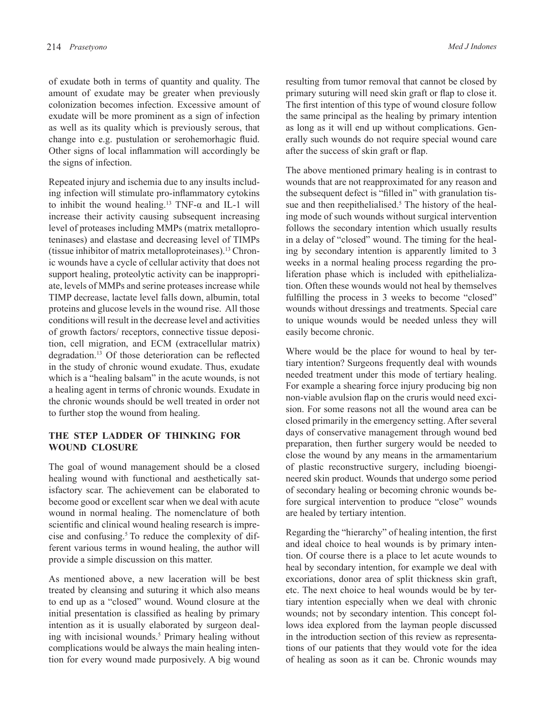of exudate both in terms of quantity and quality. The amount of exudate may be greater when previously colonization becomes infection. Excessive amount of exudate will be more prominent as a sign of infection as well as its quality which is previously serous, that change into e.g. pustulation or serohemorhagic fluid. Other signs of local inflammation will accordingly be the signs of infection.

Repeated injury and ischemia due to any insults including infection will stimulate pro-inflammatory cytokins to inhibit the wound healing.<sup>13</sup> TNF- $\alpha$  and IL-1 will increase their activity causing subsequent increasing level of proteases including MMPs (matrix metalloproteninases) and elastase and decreasing level of TIMPs (tissue inhibitor of matrix metalloproteinases).13 Chronic wounds have a cycle of cellular activity that does not support healing, proteolytic activity can be inappropriate, levels of MMPs and serine proteases increase while TIMP decrease, lactate level falls down, albumin, total proteins and glucose levels in the wound rise. All those conditions will result in the decrease level and activities of growth factors/ receptors, connective tissue deposition, cell migration, and ECM (extracellular matrix) degradation.13 Of those deterioration can be reflected in the study of chronic wound exudate. Thus, exudate which is a "healing balsam" in the acute wounds, is not a healing agent in terms of chronic wounds. Exudate in the chronic wounds should be well treated in order not to further stop the wound from healing.

# **THE STEP LADDER OF THINKING FOR WOUND CLOSURE**

The goal of wound management should be a closed healing wound with functional and aesthetically satisfactory scar. The achievement can be elaborated to become good or excellent scar when we deal with acute wound in normal healing. The nomenclature of both scientific and clinical wound healing research is imprecise and confusing. $5$  To reduce the complexity of different various terms in wound healing, the author will provide a simple discussion on this matter.

As mentioned above, a new laceration will be best treated by cleansing and suturing it which also means to end up as a "closed" wound. Wound closure at the initial presentation is classified as healing by primary intention as it is usually elaborated by surgeon dealing with incisional wounds.<sup>5</sup> Primary healing without complications would be always the main healing intention for every wound made purposively. A big wound

resulting from tumor removal that cannot be closed by primary suturing will need skin graft or flap to close it. The first intention of this type of wound closure follow the same principal as the healing by primary intention as long as it will end up without complications. Generally such wounds do not require special wound care after the success of skin graft or flap.

The above mentioned primary healing is in contrast to wounds that are not reapproximated for any reason and the subsequent defect is "filled in" with granulation tissue and then reepithelialised.<sup>5</sup> The history of the healing mode of such wounds without surgical intervention follows the secondary intention which usually results in a delay of "closed" wound. The timing for the healing by secondary intention is apparently limited to 3 weeks in a normal healing process regarding the proliferation phase which is included with epithelialization. Often these wounds would not heal by themselves fulfilling the process in 3 weeks to become "closed" wounds without dressings and treatments. Special care to unique wounds would be needed unless they will easily become chronic.

Where would be the place for wound to heal by tertiary intention? Surgeons frequently deal with wounds needed treatment under this mode of tertiary healing. For example a shearing force injury producing big non non-viable avulsion flap on the cruris would need excision. For some reasons not all the wound area can be closed primarily in the emergency setting. After several days of conservative management through wound bed preparation, then further surgery would be needed to close the wound by any means in the armamentarium of plastic reconstructive surgery, including bioengineered skin product. Wounds that undergo some period of secondary healing or becoming chronic wounds before surgical intervention to produce "close" wounds are healed by tertiary intention.

Regarding the "hierarchy" of healing intention, the first and ideal choice to heal wounds is by primary intention. Of course there is a place to let acute wounds to heal by secondary intention, for example we deal with excoriations, donor area of split thickness skin graft, etc. The next choice to heal wounds would be by tertiary intention especially when we deal with chronic wounds; not by secondary intention. This concept follows idea explored from the layman people discussed in the introduction section of this review as representations of our patients that they would vote for the idea of healing as soon as it can be. Chronic wounds may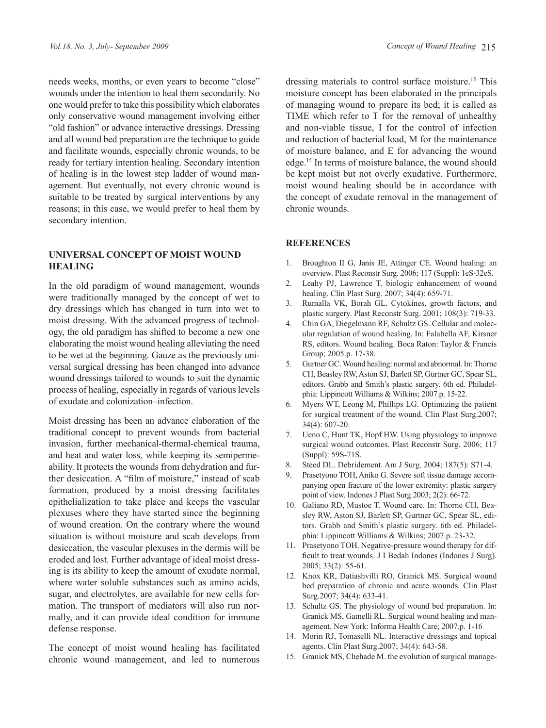needs weeks, months, or even years to become "close" wounds under the intention to heal them secondarily. No one would prefer to take this possibility which elaborates only conservative wound management involving either "old fashion" or advance interactive dressings. Dressing and all wound bed preparation are the technique to guide and facilitate wounds, especially chronic wounds, to be ready for tertiary intention healing. Secondary intention of healing is in the lowest step ladder of wound management. But eventually, not every chronic wound is suitable to be treated by surgical interventions by any reasons; in this case, we would prefer to heal them by secondary intention.

## **UNIVERSAL CONCEPT OF MOIST WOUND HEALING**

In the old paradigm of wound management, wounds were traditionally managed by the concept of wet to dry dressings which has changed in turn into wet to moist dressing. With the advanced progress of technology, the old paradigm has shifted to become a new one elaborating the moist wound healing alleviating the need to be wet at the beginning. Gauze as the previously universal surgical dressing has been changed into advance wound dressings tailored to wounds to suit the dynamic process of healing, especially in regards of various levels of exudate and colonization–infection.

Moist dressing has been an advance elaboration of the traditional concept to prevent wounds from bacterial invasion, further mechanical-thermal-chemical trauma, and heat and water loss, while keeping its semipermeability. It protects the wounds from dehydration and further desiccation. A "film of moisture," instead of scab formation, produced by a moist dressing facilitates epithelialization to take place and keeps the vascular plexuses where they have started since the beginning of wound creation. On the contrary where the wound situation is without moisture and scab develops from desiccation, the vascular plexuses in the dermis will be eroded and lost. Further advantage of ideal moist dressing is its ability to keep the amount of exudate normal, where water soluble substances such as amino acids, sugar, and electrolytes, are available for new cells formation. The transport of mediators will also run normally, and it can provide ideal condition for immune defense response.

The concept of moist wound healing has facilitated chronic wound management, and led to numerous dressing materials to control surface moisture.<sup>15</sup> This moisture concept has been elaborated in the principals of managing wound to prepare its bed; it is called as TIME which refer to T for the removal of unhealthy and non-viable tissue, I for the control of infection and reduction of bacterial load, M for the maintenance of moisture balance, and E for advancing the wound edge.15 In terms of moisture balance, the wound should be kept moist but not overly exudative. Furthermore, moist wound healing should be in accordance with the concept of exudate removal in the management of chronic wounds.

### **REFERENCES**

- 1. Broughton II G, Janis JE, Attinger CE. Wound healing: an overview. Plast Reconstr Surg. 2006; 117 (Suppl): 1eS-32eS.
- 2. Leahy PJ, Lawrence T. biologic enhancement of wound healing. Clin Plast Surg. 2007; 34(4): 659-71.
- 3. Rumalla VK, Borah GL. Cytokines, growth factors, and plastic surgery. Plast Reconstr Surg. 2001; 108(3): 719-33.
- 4. Chin GA, Diegelmann RF, Schultz GS. Cellular and molecular regulation of wound healing. In: Falabella AF, Kirsner RS, editors. Wound healing. Boca Raton: Taylor & Francis Group; 2005.p. 17-38.
- 5. Gurtner GC. Wound healing: normal and abnormal. In: Thorne CH, Beasley RW, Aston SJ, Barlett SP, Gurtner GC, Spear SL, editors. Grabb and Smith's plastic surgery. 6th ed. Philadelphia: Lippincott Williams & Wilkins; 2007.p. 15-22.
- 6. Myers WT, Leong M, Phillips LG. Optimizing the patient for surgical treatment of the wound. Clin Plast Surg.2007; 34(4): 607-20.
- 7. Ueno C, Hunt TK, Hopf HW. Using physiology to improve surgical wound outcomes. Plast Reconstr Surg. 2006; 117 (Suppl): 59S-71S.
- 8. Steed DL. Debridement. Am J Surg. 2004; 187(5): S71-4.
- 9. Prasetyono TOH, Aniko G. Severe soft tissue damage accompanying open fracture of the lower extremity: plastic surgery point of view. Indones J Plast Surg 2003; 2(2): 66-72.
- 10. Galiano RD, Mustoe T. Wound care. In: Thorne CH, Beasley RW, Aston SJ, Barlett SP, Gurtner GC, Spear SL, editors. Grabb and Smith's plastic surgery. 6th ed. Philadelphia: Lippincott Williams & Wilkins; 2007.p. 23-32.
- 11. Prasetyono TOH. Negative-pressure wound therapy for difficult to treat wounds. J I Bedah Indones (Indones J Surg). 2005; 33(2): 55-61.
- 12. Knox KR, Datiashvilli RO, Granick MS. Surgical wound bed preparation of chronic and acute wounds. Clin Plast Surg.2007; 34(4): 633-41.
- 13. Schultz GS. The physiology of wound bed preparation. In: Granick MS, Gamelli RL. Surgical wound healing and management. New York: Informa Health Care; 2007.p. 1-16
- 14. Morin RJ, Tomaselli NL. Interactive dressings and topical agents. Clin Plast Surg.2007; 34(4): 643-58.
- 15. Granick MS, Chehade M. the evolution of surgical manage-